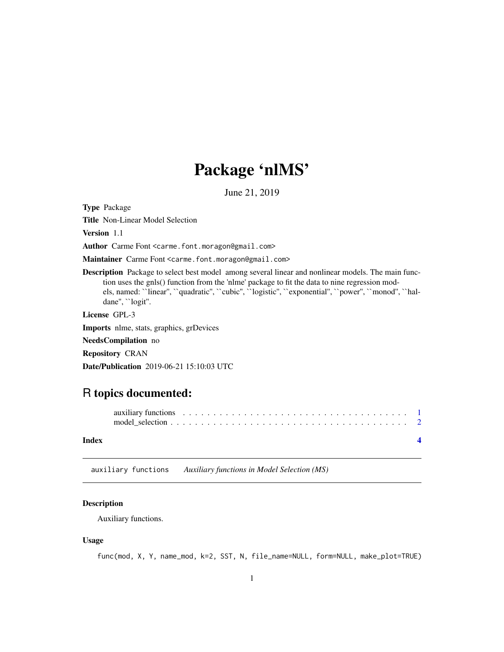## Package 'nlMS'

June 21, 2019

<span id="page-0-0"></span>Type Package

Title Non-Linear Model Selection

Version 1.1

Author Carme Font <carme.font.moragon@gmail.com>

Maintainer Carme Font <carme.font.moragon@gmail.com>

Description Package to select best model among several linear and nonlinear models. The main function uses the gnls() function from the 'nlme' package to fit the data to nine regression models, named: ``linear'', ``quadratic'', ``cubic'', ``logistic'', ``exponential'', ``power'', ``monod'', ``haldane'', ``logit''.

License GPL-3

Imports nlme, stats, graphics, grDevices

NeedsCompilation no

Repository CRAN

Date/Publication 2019-06-21 15:10:03 UTC

### R topics documented:

| Index |                                                                                                                                                                                                                                |  |  |  |  |  |  |  |  |  |  |  |  |  |  |  |  |
|-------|--------------------------------------------------------------------------------------------------------------------------------------------------------------------------------------------------------------------------------|--|--|--|--|--|--|--|--|--|--|--|--|--|--|--|--|
|       | auxiliary functions expectation of the contract of the contract of the contract of the contract of the contract of the contract of the contract of the contract of the contract of the contract of the contract of the contrac |  |  |  |  |  |  |  |  |  |  |  |  |  |  |  |  |

auxiliary functions *Auxiliary functions in Model Selection (MS)*

#### Description

Auxiliary functions.

#### Usage

func(mod, X, Y, name\_mod, k=2, SST, N, file\_name=NULL, form=NULL, make\_plot=TRUE)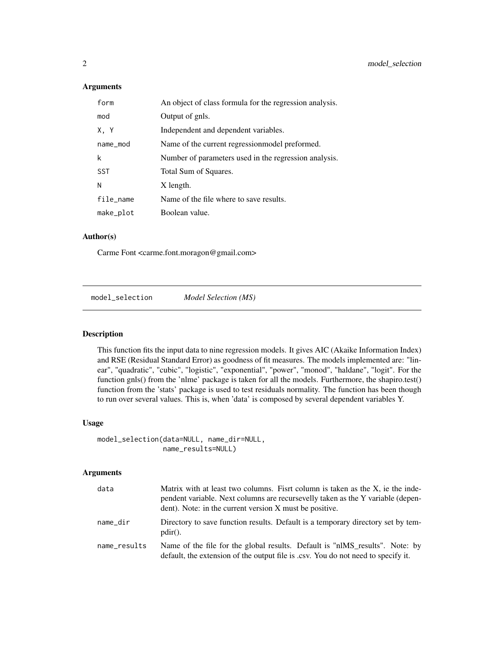#### <span id="page-1-0"></span>Arguments

| form       | An object of class formula for the regression analysis. |
|------------|---------------------------------------------------------|
| mod        | Output of gnls.                                         |
| X, Y       | Independent and dependent variables.                    |
| name_mod   | Name of the current regressionmodel preformed.          |
| k          | Number of parameters used in the regression analysis.   |
| <b>SST</b> | Total Sum of Squares.                                   |
| Ν          | X length.                                               |
| file_name  | Name of the file where to save results.                 |
| make_plot  | Boolean value.                                          |

#### Author(s)

Carme Font <carme.font.moragon@gmail.com>

model\_selection *Model Selection (MS)*

#### Description

This function fits the input data to nine regression models. It gives AIC (Akaike Information Index) and RSE (Residual Standard Error) as goodness of fit measures. The models implemented are: "linear", "quadratic", "cubic", "logistic", "exponential", "power", "monod", "haldane", "logit". For the function gnls() from the 'nlme' package is taken for all the models. Furthermore, the shapiro.test() function from the 'stats' package is used to test residuals normality. The function has been though to run over several values. This is, when 'data' is composed by several dependent variables Y.

#### Usage

```
model_selection(data=NULL, name_dir=NULL,
                name_results=NULL)
```
#### Arguments

| data         | Matrix with at least two columns. Fisrt column is taken as the X, ie the inde-<br>pendent variable. Next columns are recursevelly taken as the Y variable (depen-<br>dent). Note: in the current version X must be positive. |
|--------------|------------------------------------------------------------------------------------------------------------------------------------------------------------------------------------------------------------------------------|
| name dir     | Directory to save function results. Default is a temporary directory set by tem-<br>$pdir()$ .                                                                                                                               |
| name_results | Name of the file for the global results. Default is "nlMS_results". Note: by<br>default, the extension of the output file is .csv. You do not need to specify it.                                                            |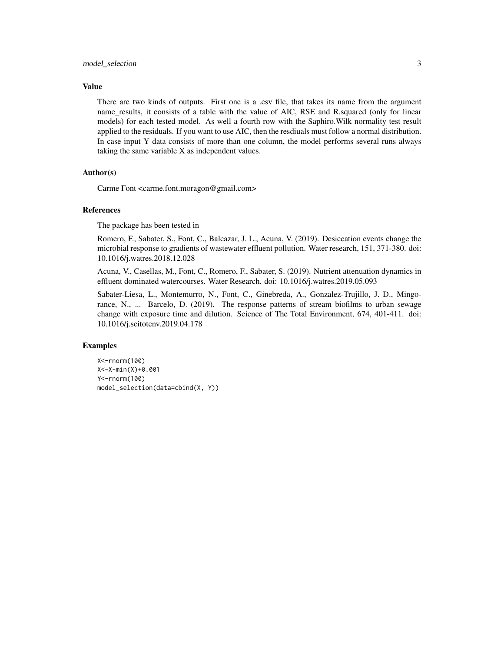#### Value

There are two kinds of outputs. First one is a .csv file, that takes its name from the argument name\_results, it consists of a table with the value of AIC, RSE and R.squared (only for linear models) for each tested model. As well a fourth row with the Saphiro.Wilk normality test result applied to the residuals. If you want to use AIC, then the resdiuals must follow a normal distribution. In case input Y data consists of more than one column, the model performs several runs always taking the same variable X as independent values.

#### Author(s)

Carme Font <carme.font.moragon@gmail.com>

#### References

The package has been tested in

Romero, F., Sabater, S., Font, C., Balcazar, J. L., Acuna, V. (2019). Desiccation events change the microbial response to gradients of wastewater effluent pollution. Water research, 151, 371-380. doi: 10.1016/j.watres.2018.12.028

Acuna, V., Casellas, M., Font, C., Romero, F., Sabater, S. (2019). Nutrient attenuation dynamics in effluent dominated watercourses. Water Research. doi: 10.1016/j.watres.2019.05.093

Sabater-Liesa, L., Montemurro, N., Font, C., Ginebreda, A., Gonzalez-Trujillo, J. D., Mingorance, N., ... Barcelo, D. (2019). The response patterns of stream biofilms to urban sewage change with exposure time and dilution. Science of The Total Environment, 674, 401-411. doi: 10.1016/j.scitotenv.2019.04.178

#### Examples

```
X<-rnorm(100)
X<-X-min(X)+0.001
Y<-rnorm(100)
model_selection(data=cbind(X, Y))
```